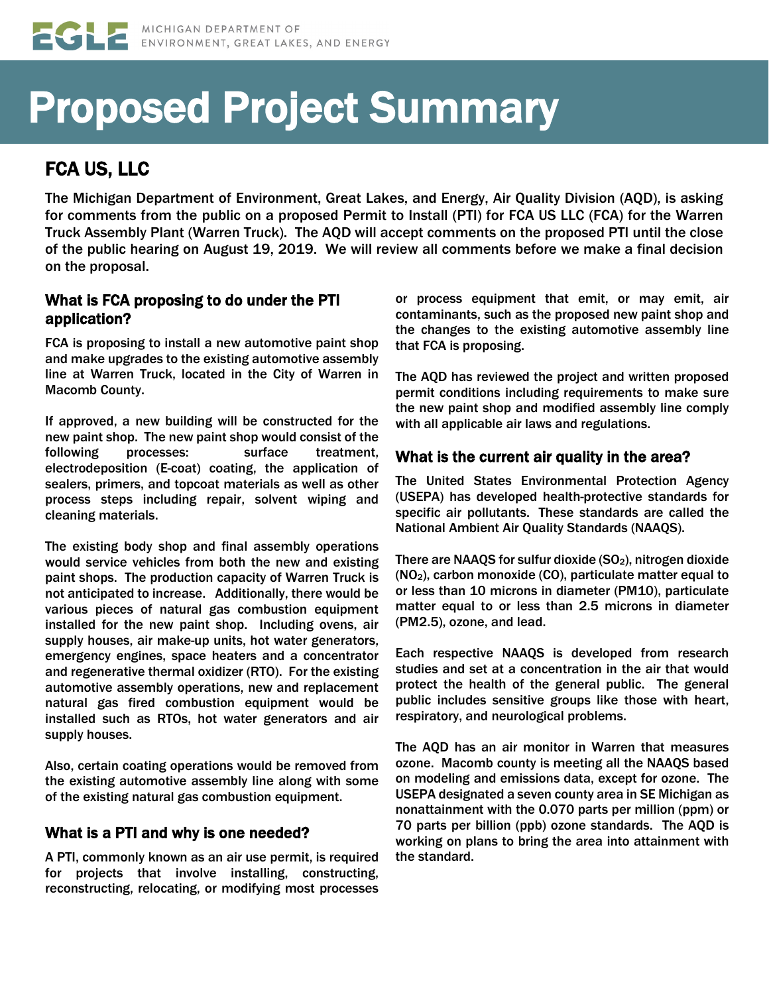# Proposed Project Summary

# FCA US, LLC

The Michigan Department of Environment, Great Lakes, and Energy, Air Quality Division (AQD), is asking for comments from the public on a proposed Permit to Install (PTI) for FCA US LLC (FCA) for the Warren Truck Assembly Plant (Warren Truck). The AQD will accept comments on the proposed PTI until the close of the public hearing on August 19, 2019. We will review all comments before we make a final decision on the proposal.

## What is FCA proposing to do under the PTI application?

FCA is proposing to install a new automotive paint shop and make upgrades to the existing automotive assembly line at Warren Truck, located in the City of Warren in Macomb County.

If approved, a new building will be constructed for the new paint shop. The new paint shop would consist of the following processes: surface treatment, electrodeposition (E-coat) coating, the application of sealers, primers, and topcoat materials as well as other process steps including repair, solvent wiping and cleaning materials.

The existing body shop and final assembly operations would service vehicles from both the new and existing paint shops. The production capacity of Warren Truck is not anticipated to increase. Additionally, there would be various pieces of natural gas combustion equipment installed for the new paint shop. Including ovens, air supply houses, air make-up units, hot water generators, emergency engines, space heaters and a concentrator and regenerative thermal oxidizer (RTO). For the existing automotive assembly operations, new and replacement natural gas fired combustion equipment would be installed such as RTOs, hot water generators and air supply houses.

Also, certain coating operations would be removed from the existing automotive assembly line along with some of the existing natural gas combustion equipment.

# What is a PTI and why is one needed?

A PTI, commonly known as an air use permit, is required for projects that involve installing, constructing, reconstructing, relocating, or modifying most processes or process equipment that emit, or may emit, air contaminants, such as the proposed new paint shop and the changes to the existing automotive assembly line that FCA is proposing.

The AQD has reviewed the project and written proposed permit conditions including requirements to make sure the new paint shop and modified assembly line comply with all applicable air laws and regulations.

#### What is the current air quality in the area?

The United States Environmental Protection Agency (USEPA) has developed health-protective standards for specific air pollutants. These standards are called the National Ambient Air Quality Standards (NAAQS).

There are NAAQS for sulfur dioxide (SO<sub>2</sub>), nitrogen dioxide (NO2), carbon monoxide (CO), particulate matter equal to or less than 10 microns in diameter (PM10), particulate matter equal to or less than 2.5 microns in diameter (PM2.5), ozone, and lead.

Each respective NAAQS is developed from research studies and set at a concentration in the air that would protect the health of the general public. The general public includes sensitive groups like those with heart, respiratory, and neurological problems.

The AQD has an air monitor in Warren that measures ozone. Macomb county is meeting all the NAAQS based on modeling and emissions data, except for ozone. The USEPA designated a seven county area in SE Michigan as nonattainment with the 0.070 parts per million (ppm) or 70 parts per billion (ppb) ozone standards. The AQD is working on plans to bring the area into attainment with the standard.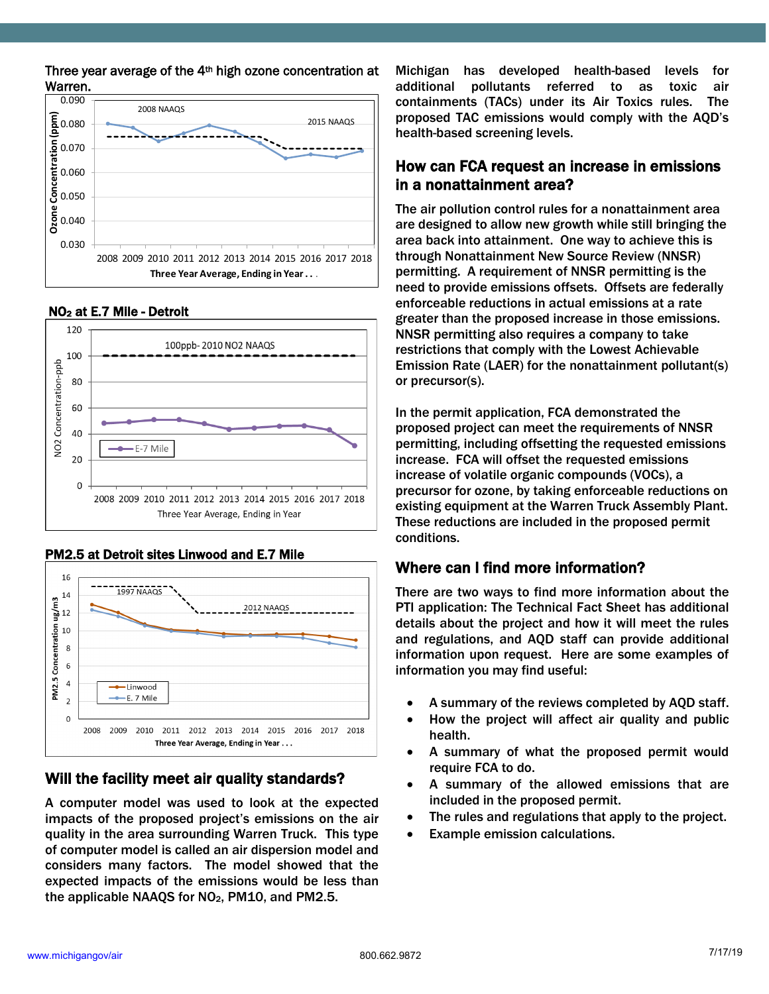Three year average of the 4th high ozone concentration at Warren.



#### NO2 at E.7 Mile - Detroit



#### PM2.5 at Detroit sites Linwood and E.7 Mile



### Will the facility meet air quality standards?

A computer model was used to look at the expected impacts of the proposed project's emissions on the air quality in the area surrounding Warren Truck. This type of computer model is called an air dispersion model and considers many factors. The model showed that the expected impacts of the emissions would be less than the applicable NAAQS for  $NO<sub>2</sub>$ , PM10, and PM2.5.

Michigan has developed health-based levels for additional pollutants referred to as toxic air containments (TACs) under its Air Toxics rules. The proposed TAC emissions would comply with the AQD's health-based screening levels.

### How can FCA request an increase in emissions in a nonattainment area?

The air pollution control rules for a nonattainment area are designed to allow new growth while still bringing the area back into attainment. One way to achieve this is through Nonattainment New Source Review (NNSR) permitting. A requirement of NNSR permitting is the need to provide emissions offsets. Offsets are federally enforceable reductions in actual emissions at a rate greater than the proposed increase in those emissions. NNSR permitting also requires a company to take restrictions that comply with the Lowest Achievable Emission Rate (LAER) for the nonattainment pollutant(s) or precursor(s).

In the permit application, FCA demonstrated the proposed project can meet the requirements of NNSR permitting, including offsetting the requested emissions increase. FCA will offset the requested emissions increase of volatile organic compounds (VOCs), a precursor for ozone, by taking enforceable reductions on existing equipment at the Warren Truck Assembly Plant. These reductions are included in the proposed permit conditions.

# Where can I find more information?

There are two ways to find more information about the PTI application: The Technical Fact Sheet has additional details about the project and how it will meet the rules and regulations, and AQD staff can provide additional information upon request. Here are some examples of information you may find useful:

- A summary of the reviews completed by AQD staff.
- How the project will affect air quality and public health.
- A summary of what the proposed permit would require FCA to do.
- A summary of the allowed emissions that are included in the proposed permit.
- The rules and regulations that apply to the project.
- Example emission calculations.